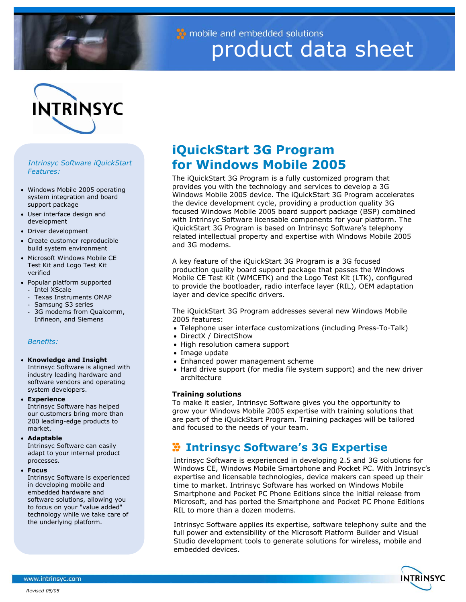

mobile and embedded solutions product data sheet

# **INTRINSYC**

# *Intrinsyc Software iQuickStart Features:*

- Windows Mobile 2005 operating system integration and board support package
- User interface design and development
- Driver development
- Create customer reproducible build system environment
- Microsoft Windows Mobile CE Test Kit and Logo Test Kit verified
- Popular platform supported
	- Intel XScale
- Texas Instruments OMAP
- Samsung S3 series
- 3G modems from Qualcomm, Infineon, and Siemens

# *Benefits:*

# • **Knowledge and Insight**

Intrinsyc Software is aligned with industry leading hardware and software vendors and operating system developers.

• **Experience**

Intrinsyc Software has helped our customers bring more than 200 leading-edge products to market.

#### • **Adaptable**

Intrinsyc Software can easily adapt to your internal product processes.

• **Focus**

Intrinsyc Software is experienced in developing mobile and embedded hardware and software solutions, allowing you to focus on your "value added" technology while we take care of the underlying platform.

# **iQuickStart 3G Program for Windows Mobile 2005**

The iQuickStart 3G Program is a fully customized program that provides you with the technology and services to develop a 3G Windows Mobile 2005 device. The iQuickStart 3G Program accelerates the device development cycle, providing a production quality 3G focused Windows Mobile 2005 board support package (BSP) combined with Intrinsyc Software licensable components for your platform. The iQuickStart 3G Program is based on Intrinsyc Software's telephony related intellectual property and expertise with Windows Mobile 2005 and 3G modems.

A key feature of the iQuickStart 3G Program is a 3G focused production quality board support package that passes the Windows Mobile CE Test Kit (WMCETK) and the Logo Test Kit (LTK), configured to provide the bootloader, radio interface layer (RIL), OEM adaptation layer and device specific drivers.

The iQuickStart 3G Program addresses several new Windows Mobile 2005 features:

- Telephone user interface customizations (including Press-To-Talk)
- DirectX / DirectShow
- High resolution camera support
- Image update
- Enhanced power management scheme
- Hard drive support (for media file system support) and the new driver architecture

# **Training solutions**

To make it easier, Intrinsyc Software gives you the opportunity to grow your Windows Mobile 2005 expertise with training solutions that are part of the iQuickStart Program. Training packages will be tailored and focused to the needs of your team.

# **Intrinsyc Software's 3G Expertise**

Intrinsyc Software is experienced in developing 2.5 and 3G solutions for Windows CE, Windows Mobile Smartphone and Pocket PC. With Intrinsyc's expertise and licensable technologies, device makers can speed up their time to market. Intrinsyc Software has worked on Windows Mobile Smartphone and Pocket PC Phone Editions since the initial release from Microsoft, and has ported the Smartphone and Pocket PC Phone Editions RIL to more than a dozen modems.

Intrinsyc Software applies its expertise, software telephony suite and the full power and extensibility of the Microsoft Platform Builder and Visual Studio development tools to generate solutions for wireless, mobile and embedded devices.



www.intrinsyc.com

*Revised 05/05*